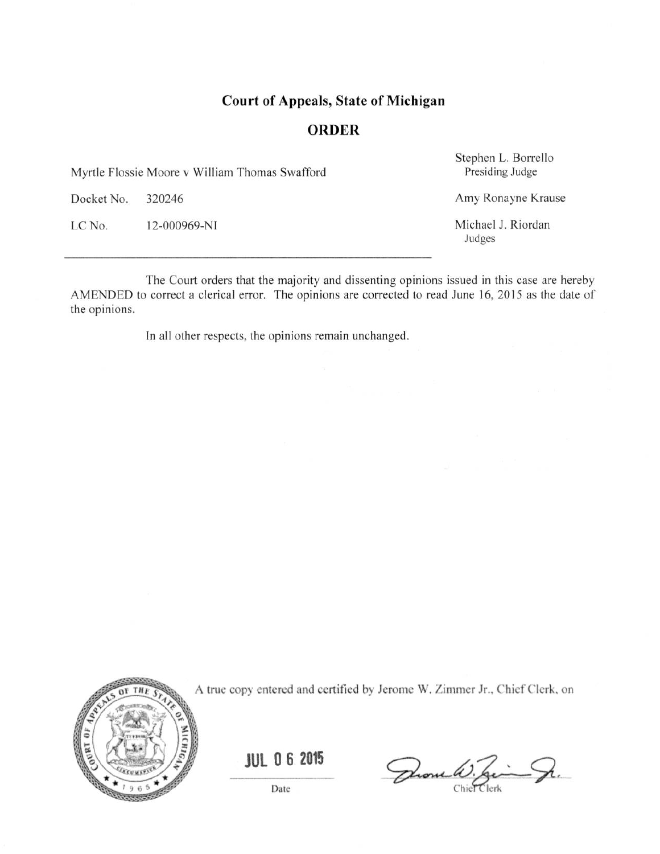# **Court of Appeals, State of Michigan**

### **ORDER**

Myrtle Flossie Moore v William Thomas Swafford

Docket No. 320246

LC No. 12-000969-NI Stephen L. Borrello Presiding Judge

Amy Ronayne Krause

Michael J. Riordan Judges

The Court orders that the majority and dissenting opinions issued in this case are hereby AMENDED to correct a clerical error. The opinions are corrected to read June 16, 2015 as the date of the opinions.

In all other respects, the opinions remain unchanged.



A true copy entered and certified by Jerome W. Zimmer Jr., Chief Clerk, on

**JUL 06 2015** 

Date

Drome W. Zim Sr.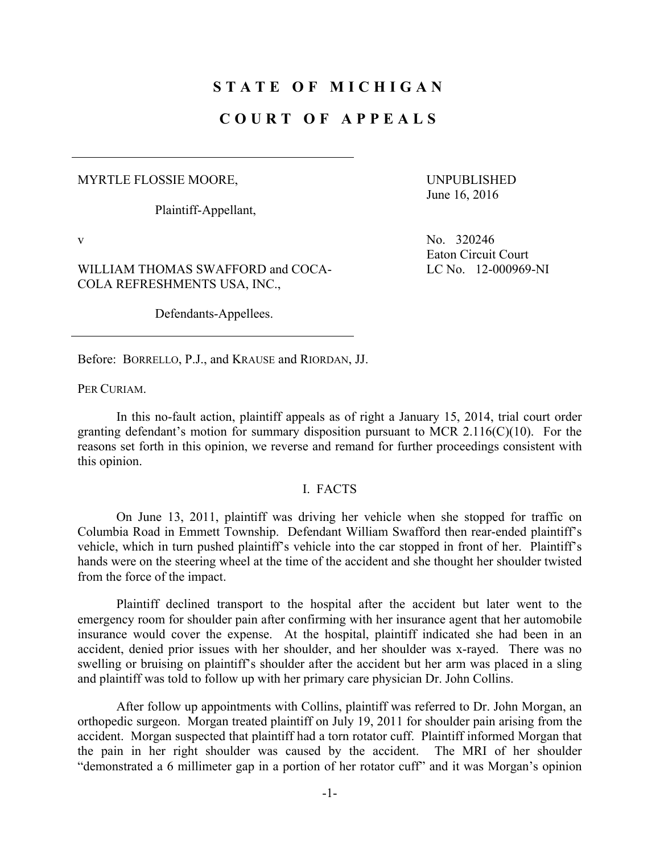## **STATE OF MICHIGAN**

### **COURT OF APPEALS**

#### MYRTLE FLOSSIE MOORE,

Plaintiff-Appellant,

WILLIAM THOMAS SWAFFORD and COCA-COLA REFRESHMENTS USA, INC.,

Defendants-Appellees.

UNPUBLISHED June 16, 2016

v  $N_0$ . 320246 Eaton Circuit Court LC No. 12-000969-NI

Before: BORRELLO, P.J., and KRAUSE and RIORDAN, JJ.

PER CURIAM.

 In this no-fault action, plaintiff appeals as of right a January 15, 2014, trial court order granting defendant's motion for summary disposition pursuant to MCR 2.116(C)(10). For the reasons set forth in this opinion, we reverse and remand for further proceedings consistent with this opinion.

#### I. FACTS

 On June 13, 2011, plaintiff was driving her vehicle when she stopped for traffic on Columbia Road in Emmett Township. Defendant William Swafford then rear-ended plaintiff's vehicle, which in turn pushed plaintiff's vehicle into the car stopped in front of her. Plaintiff's hands were on the steering wheel at the time of the accident and she thought her shoulder twisted from the force of the impact.

 Plaintiff declined transport to the hospital after the accident but later went to the emergency room for shoulder pain after confirming with her insurance agent that her automobile insurance would cover the expense. At the hospital, plaintiff indicated she had been in an accident, denied prior issues with her shoulder, and her shoulder was x-rayed. There was no swelling or bruising on plaintiff's shoulder after the accident but her arm was placed in a sling and plaintiff was told to follow up with her primary care physician Dr. John Collins.

 After follow up appointments with Collins, plaintiff was referred to Dr. John Morgan, an orthopedic surgeon. Morgan treated plaintiff on July 19, 2011 for shoulder pain arising from the accident. Morgan suspected that plaintiff had a torn rotator cuff. Plaintiff informed Morgan that the pain in her right shoulder was caused by the accident. The MRI of her shoulder "demonstrated a 6 millimeter gap in a portion of her rotator cuff" and it was Morgan's opinion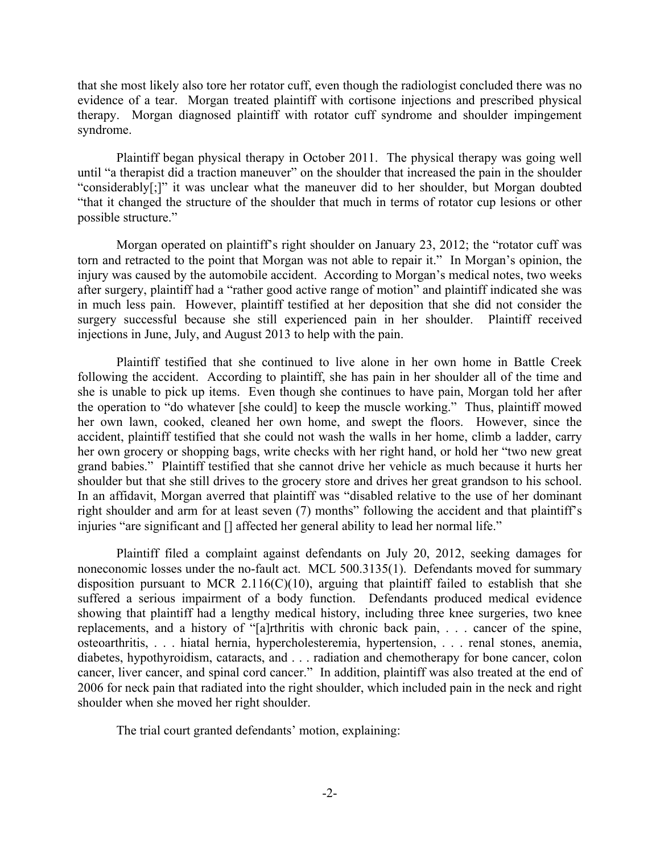that she most likely also tore her rotator cuff, even though the radiologist concluded there was no evidence of a tear. Morgan treated plaintiff with cortisone injections and prescribed physical therapy. Morgan diagnosed plaintiff with rotator cuff syndrome and shoulder impingement syndrome.

 Plaintiff began physical therapy in October 2011. The physical therapy was going well until "a therapist did a traction maneuver" on the shoulder that increased the pain in the shoulder "considerably[;]" it was unclear what the maneuver did to her shoulder, but Morgan doubted "that it changed the structure of the shoulder that much in terms of rotator cup lesions or other possible structure."

 Morgan operated on plaintiff's right shoulder on January 23, 2012; the "rotator cuff was torn and retracted to the point that Morgan was not able to repair it." In Morgan's opinion, the injury was caused by the automobile accident. According to Morgan's medical notes, two weeks after surgery, plaintiff had a "rather good active range of motion" and plaintiff indicated she was in much less pain. However, plaintiff testified at her deposition that she did not consider the surgery successful because she still experienced pain in her shoulder. Plaintiff received injections in June, July, and August 2013 to help with the pain.

 Plaintiff testified that she continued to live alone in her own home in Battle Creek following the accident. According to plaintiff, she has pain in her shoulder all of the time and she is unable to pick up items. Even though she continues to have pain, Morgan told her after the operation to "do whatever [she could] to keep the muscle working." Thus, plaintiff mowed her own lawn, cooked, cleaned her own home, and swept the floors. However, since the accident, plaintiff testified that she could not wash the walls in her home, climb a ladder, carry her own grocery or shopping bags, write checks with her right hand, or hold her "two new great grand babies." Plaintiff testified that she cannot drive her vehicle as much because it hurts her shoulder but that she still drives to the grocery store and drives her great grandson to his school. In an affidavit, Morgan averred that plaintiff was "disabled relative to the use of her dominant right shoulder and arm for at least seven (7) months" following the accident and that plaintiff's injuries "are significant and [] affected her general ability to lead her normal life."

 Plaintiff filed a complaint against defendants on July 20, 2012, seeking damages for noneconomic losses under the no-fault act. MCL 500.3135(1). Defendants moved for summary disposition pursuant to MCR 2.116( $C(10)$ , arguing that plaintiff failed to establish that she suffered a serious impairment of a body function. Defendants produced medical evidence showing that plaintiff had a lengthy medical history, including three knee surgeries, two knee replacements, and a history of "[a]rthritis with chronic back pain, . . . cancer of the spine, osteoarthritis, . . . hiatal hernia, hypercholesteremia, hypertension, . . . renal stones, anemia, diabetes, hypothyroidism, cataracts, and . . . radiation and chemotherapy for bone cancer, colon cancer, liver cancer, and spinal cord cancer." In addition, plaintiff was also treated at the end of 2006 for neck pain that radiated into the right shoulder, which included pain in the neck and right shoulder when she moved her right shoulder.

The trial court granted defendants' motion, explaining: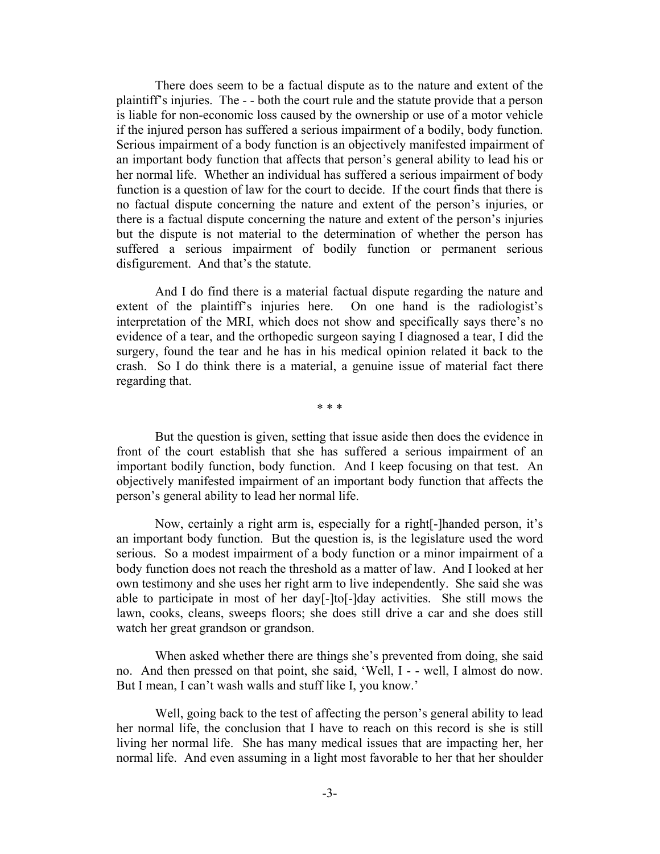There does seem to be a factual dispute as to the nature and extent of the plaintiff's injuries. The - - both the court rule and the statute provide that a person is liable for non-economic loss caused by the ownership or use of a motor vehicle if the injured person has suffered a serious impairment of a bodily, body function. Serious impairment of a body function is an objectively manifested impairment of an important body function that affects that person's general ability to lead his or her normal life. Whether an individual has suffered a serious impairment of body function is a question of law for the court to decide. If the court finds that there is no factual dispute concerning the nature and extent of the person's injuries, or there is a factual dispute concerning the nature and extent of the person's injuries but the dispute is not material to the determination of whether the person has suffered a serious impairment of bodily function or permanent serious disfigurement. And that's the statute.

 And I do find there is a material factual dispute regarding the nature and extent of the plaintiff's injuries here. On one hand is the radiologist's interpretation of the MRI, which does not show and specifically says there's no evidence of a tear, and the orthopedic surgeon saying I diagnosed a tear, I did the surgery, found the tear and he has in his medical opinion related it back to the crash. So I do think there is a material, a genuine issue of material fact there regarding that.

\* \* \*

 But the question is given, setting that issue aside then does the evidence in front of the court establish that she has suffered a serious impairment of an important bodily function, body function. And I keep focusing on that test. An objectively manifested impairment of an important body function that affects the person's general ability to lead her normal life.

 Now, certainly a right arm is, especially for a right[-]handed person, it's an important body function. But the question is, is the legislature used the word serious. So a modest impairment of a body function or a minor impairment of a body function does not reach the threshold as a matter of law. And I looked at her own testimony and she uses her right arm to live independently. She said she was able to participate in most of her day[-]to[-]day activities. She still mows the lawn, cooks, cleans, sweeps floors; she does still drive a car and she does still watch her great grandson or grandson.

 When asked whether there are things she's prevented from doing, she said no. And then pressed on that point, she said, 'Well, I - - well, I almost do now. But I mean, I can't wash walls and stuff like I, you know.'

 Well, going back to the test of affecting the person's general ability to lead her normal life, the conclusion that I have to reach on this record is she is still living her normal life. She has many medical issues that are impacting her, her normal life. And even assuming in a light most favorable to her that her shoulder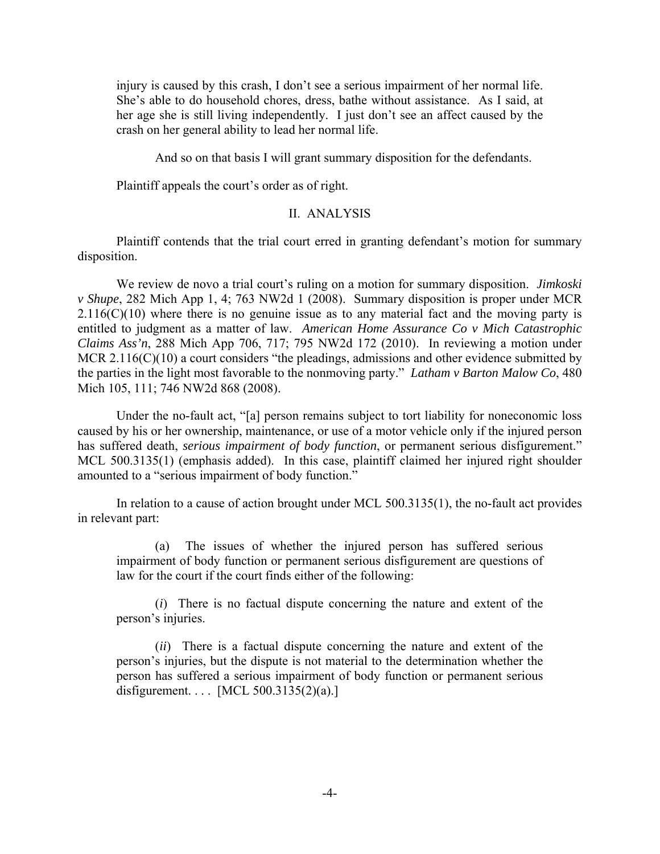injury is caused by this crash, I don't see a serious impairment of her normal life. She's able to do household chores, dress, bathe without assistance. As I said, at her age she is still living independently. I just don't see an affect caused by the crash on her general ability to lead her normal life.

And so on that basis I will grant summary disposition for the defendants.

Plaintiff appeals the court's order as of right.

#### II. ANALYSIS

 Plaintiff contends that the trial court erred in granting defendant's motion for summary disposition.

 We review de novo a trial court's ruling on a motion for summary disposition. *Jimkoski v Shupe*, 282 Mich App 1, 4; 763 NW2d 1 (2008). Summary disposition is proper under MCR  $2.116(C)(10)$  where there is no genuine issue as to any material fact and the moving party is entitled to judgment as a matter of law. *American Home Assurance Co v Mich Catastrophic Claims Ass'n*, 288 Mich App 706, 717; 795 NW2d 172 (2010). In reviewing a motion under MCR 2.116(C)(10) a court considers "the pleadings, admissions and other evidence submitted by the parties in the light most favorable to the nonmoving party." *Latham v Barton Malow Co*, 480 Mich 105, 111; 746 NW2d 868 (2008).

 Under the no-fault act, "[a] person remains subject to tort liability for noneconomic loss caused by his or her ownership, maintenance, or use of a motor vehicle only if the injured person has suffered death, *serious impairment of body function*, or permanent serious disfigurement." MCL 500.3135(1) (emphasis added). In this case, plaintiff claimed her injured right shoulder amounted to a "serious impairment of body function."

 In relation to a cause of action brought under MCL 500.3135(1), the no-fault act provides in relevant part:

 (a) The issues of whether the injured person has suffered serious impairment of body function or permanent serious disfigurement are questions of law for the court if the court finds either of the following:

 (*i*) There is no factual dispute concerning the nature and extent of the person's injuries.

 (*ii*) There is a factual dispute concerning the nature and extent of the person's injuries, but the dispute is not material to the determination whether the person has suffered a serious impairment of body function or permanent serious disfigurement. . . . [MCL  $500.3135(2)(a)$ .]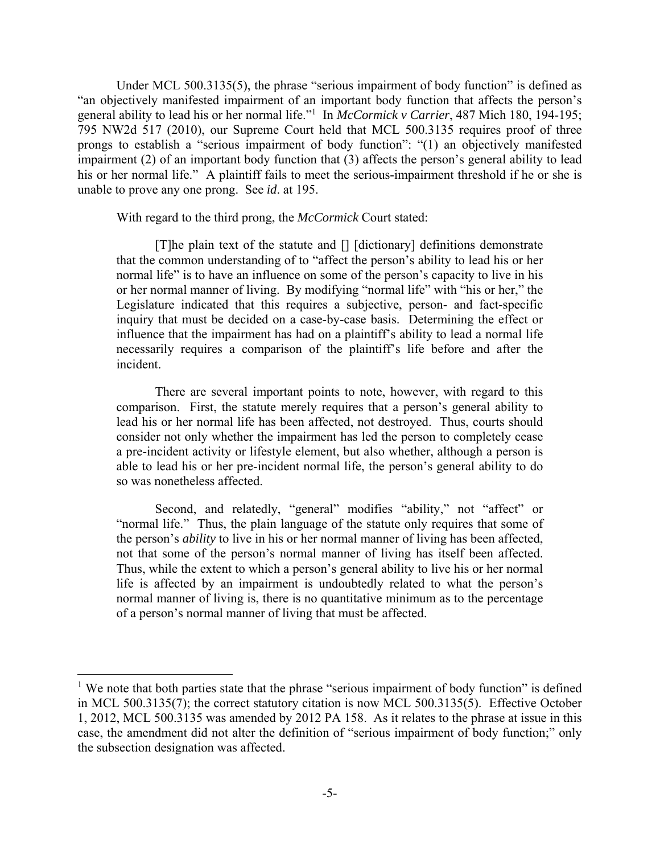Under MCL 500.3135(5), the phrase "serious impairment of body function" is defined as "an objectively manifested impairment of an important body function that affects the person's general ability to lead his or her normal life."<sup>1</sup> In *McCormick v Carrier*, 487 Mich 180, 194-195; 795 NW2d 517 (2010), our Supreme Court held that MCL 500.3135 requires proof of three prongs to establish a "serious impairment of body function": "(1) an objectively manifested impairment (2) of an important body function that (3) affects the person's general ability to lead his or her normal life." A plaintiff fails to meet the serious-impairment threshold if he or she is unable to prove any one prong. See *id*. at 195.

With regard to the third prong, the *McCormick* Court stated:

 [T]he plain text of the statute and [] [dictionary] definitions demonstrate that the common understanding of to "affect the person's ability to lead his or her normal life" is to have an influence on some of the person's capacity to live in his or her normal manner of living. By modifying "normal life" with "his or her," the Legislature indicated that this requires a subjective, person- and fact-specific inquiry that must be decided on a case-by-case basis. Determining the effect or influence that the impairment has had on a plaintiff's ability to lead a normal life necessarily requires a comparison of the plaintiff's life before and after the incident.

 There are several important points to note, however, with regard to this comparison. First, the statute merely requires that a person's general ability to lead his or her normal life has been affected, not destroyed. Thus, courts should consider not only whether the impairment has led the person to completely cease a pre-incident activity or lifestyle element, but also whether, although a person is able to lead his or her pre-incident normal life, the person's general ability to do so was nonetheless affected.

 Second, and relatedly, "general" modifies "ability," not "affect" or "normal life." Thus, the plain language of the statute only requires that some of the person's *ability* to live in his or her normal manner of living has been affected, not that some of the person's normal manner of living has itself been affected. Thus, while the extent to which a person's general ability to live his or her normal life is affected by an impairment is undoubtedly related to what the person's normal manner of living is, there is no quantitative minimum as to the percentage of a person's normal manner of living that must be affected.

 $\overline{a}$ 

<sup>&</sup>lt;sup>1</sup> We note that both parties state that the phrase "serious impairment of body function" is defined in MCL 500.3135(7); the correct statutory citation is now MCL 500.3135(5). Effective October 1, 2012, MCL 500.3135 was amended by 2012 PA 158. As it relates to the phrase at issue in this case, the amendment did not alter the definition of "serious impairment of body function;" only the subsection designation was affected.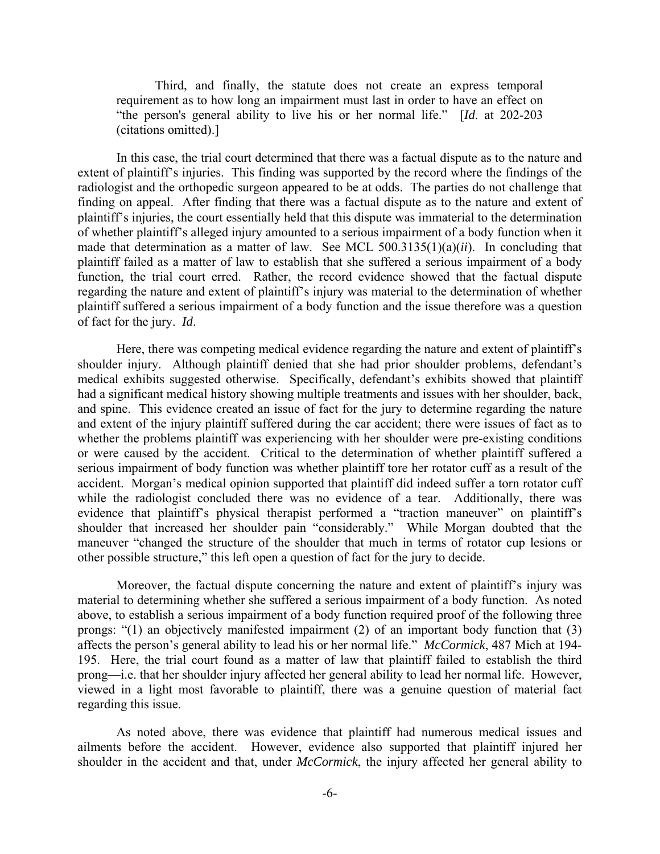Third, and finally, the statute does not create an express temporal requirement as to how long an impairment must last in order to have an effect on "the person's general ability to live his or her normal life." [*Id*. at 202-203 (citations omitted).]

 In this case, the trial court determined that there was a factual dispute as to the nature and extent of plaintiff's injuries. This finding was supported by the record where the findings of the radiologist and the orthopedic surgeon appeared to be at odds. The parties do not challenge that finding on appeal. After finding that there was a factual dispute as to the nature and extent of plaintiff's injuries, the court essentially held that this dispute was immaterial to the determination of whether plaintiff's alleged injury amounted to a serious impairment of a body function when it made that determination as a matter of law. See MCL 500.3135(1)(a)(*ii*). In concluding that plaintiff failed as a matter of law to establish that she suffered a serious impairment of a body function, the trial court erred. Rather, the record evidence showed that the factual dispute regarding the nature and extent of plaintiff's injury was material to the determination of whether plaintiff suffered a serious impairment of a body function and the issue therefore was a question of fact for the jury. *Id*.

Here, there was competing medical evidence regarding the nature and extent of plaintiff's shoulder injury. Although plaintiff denied that she had prior shoulder problems, defendant's medical exhibits suggested otherwise. Specifically, defendant's exhibits showed that plaintiff had a significant medical history showing multiple treatments and issues with her shoulder, back, and spine. This evidence created an issue of fact for the jury to determine regarding the nature and extent of the injury plaintiff suffered during the car accident; there were issues of fact as to whether the problems plaintiff was experiencing with her shoulder were pre-existing conditions or were caused by the accident. Critical to the determination of whether plaintiff suffered a serious impairment of body function was whether plaintiff tore her rotator cuff as a result of the accident. Morgan's medical opinion supported that plaintiff did indeed suffer a torn rotator cuff while the radiologist concluded there was no evidence of a tear. Additionally, there was evidence that plaintiff's physical therapist performed a "traction maneuver" on plaintiff's shoulder that increased her shoulder pain "considerably." While Morgan doubted that the maneuver "changed the structure of the shoulder that much in terms of rotator cup lesions or other possible structure," this left open a question of fact for the jury to decide.

 Moreover, the factual dispute concerning the nature and extent of plaintiff's injury was material to determining whether she suffered a serious impairment of a body function. As noted above, to establish a serious impairment of a body function required proof of the following three prongs: "(1) an objectively manifested impairment (2) of an important body function that (3) affects the person's general ability to lead his or her normal life." *McCormick*, 487 Mich at 194- 195. Here, the trial court found as a matter of law that plaintiff failed to establish the third prong—i.e. that her shoulder injury affected her general ability to lead her normal life. However, viewed in a light most favorable to plaintiff, there was a genuine question of material fact regarding this issue.

 As noted above, there was evidence that plaintiff had numerous medical issues and ailments before the accident. However, evidence also supported that plaintiff injured her shoulder in the accident and that, under *McCormick*, the injury affected her general ability to